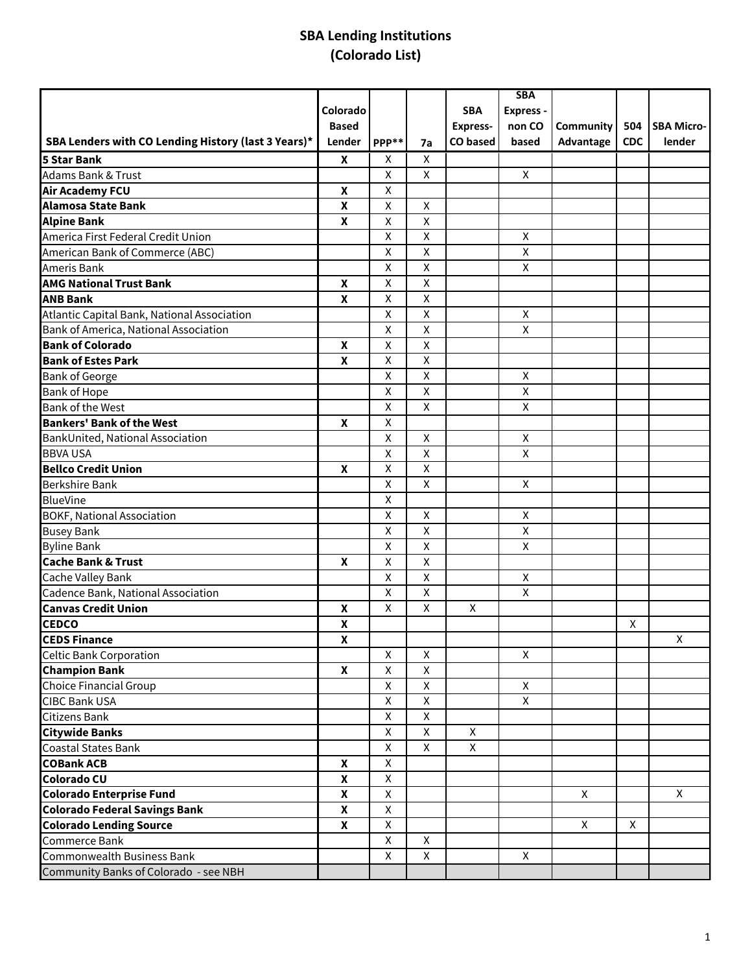|                                                     |                    |                    |                    |                 | <b>SBA</b>   |           |            |                   |
|-----------------------------------------------------|--------------------|--------------------|--------------------|-----------------|--------------|-----------|------------|-------------------|
|                                                     | Colorado           |                    |                    | <b>SBA</b>      | Express -    |           |            |                   |
|                                                     | <b>Based</b>       |                    |                    | <b>Express-</b> | non CO       | Community | 504        | <b>SBA Micro-</b> |
| SBA Lenders with CO Lending History (last 3 Years)* | Lender             | PPP**              | 7a                 | <b>CO</b> based | based        | Advantage | <b>CDC</b> | lender            |
| 5 Star Bank                                         | X                  | X                  | X                  |                 |              |           |            |                   |
| Adams Bank & Trust                                  |                    | X                  | X                  |                 | X            |           |            |                   |
| <b>Air Academy FCU</b>                              | X                  | X                  |                    |                 |              |           |            |                   |
| Alamosa State Bank                                  | X                  | X                  | X                  |                 |              |           |            |                   |
| <b>Alpine Bank</b>                                  | X                  | X                  | X                  |                 |              |           |            |                   |
| America First Federal Credit Union                  |                    | X                  | X                  |                 | X            |           |            |                   |
| American Bank of Commerce (ABC)                     |                    | $\pmb{\mathsf{X}}$ | $\pmb{\mathsf{X}}$ |                 | X            |           |            |                   |
| Ameris Bank                                         |                    | X                  | X                  |                 | X            |           |            |                   |
| <b>AMG National Trust Bank</b>                      | X                  | $\pmb{\mathsf{X}}$ | $\pmb{\mathsf{X}}$ |                 |              |           |            |                   |
| <b>ANB Bank</b>                                     | X                  | X                  | $\pmb{\mathsf{X}}$ |                 |              |           |            |                   |
| Atlantic Capital Bank, National Association         |                    | X                  | X                  |                 | X            |           |            |                   |
| Bank of America, National Association               |                    | X                  | $\pmb{\mathsf{X}}$ |                 | X            |           |            |                   |
| <b>Bank of Colorado</b>                             | $\pmb{\chi}$       | X                  | $\pmb{\mathsf{X}}$ |                 |              |           |            |                   |
| <b>Bank of Estes Park</b>                           | X                  | $\pmb{\mathsf{X}}$ | $\pmb{\mathsf{X}}$ |                 |              |           |            |                   |
| <b>Bank of George</b>                               |                    | X                  | X                  |                 | X            |           |            |                   |
| <b>Bank of Hope</b>                                 |                    | X                  | X                  |                 | X            |           |            |                   |
| <b>Bank of the West</b>                             |                    | $\pmb{\mathsf{X}}$ | $\pmb{\mathsf{X}}$ |                 | $\mathsf{X}$ |           |            |                   |
| <b>Bankers' Bank of the West</b>                    | X                  | X                  |                    |                 |              |           |            |                   |
| BankUnited, National Association                    |                    | $\pmb{\mathsf{X}}$ | $\pmb{\mathsf{X}}$ |                 | X            |           |            |                   |
| <b>BBVA USA</b>                                     |                    | X                  | $\pmb{\mathsf{X}}$ |                 | X            |           |            |                   |
| <b>Bellco Credit Union</b>                          | X                  | X                  | X                  |                 |              |           |            |                   |
| <b>Berkshire Bank</b>                               |                    | X                  | $\pmb{\mathsf{X}}$ |                 | X            |           |            |                   |
| <b>BlueVine</b>                                     |                    | X                  |                    |                 |              |           |            |                   |
| <b>BOKF, National Association</b>                   |                    | X                  | X                  |                 | X            |           |            |                   |
| <b>Busey Bank</b>                                   |                    | X                  | X                  |                 | X            |           |            |                   |
| <b>Byline Bank</b>                                  |                    | X                  | X                  |                 | X            |           |            |                   |
| <b>Cache Bank &amp; Trust</b>                       | $\boldsymbol{x}$   | $\pmb{\mathsf{X}}$ | $\pmb{\mathsf{X}}$ |                 |              |           |            |                   |
| Cache Valley Bank                                   |                    | X                  | $\pmb{\mathsf{X}}$ |                 | X            |           |            |                   |
| Cadence Bank, National Association                  |                    | $\pmb{\mathsf{X}}$ | $\pmb{\mathsf{X}}$ |                 | X            |           |            |                   |
| <b>Canvas Credit Union</b>                          | X                  | X                  | X                  | X               |              |           |            |                   |
| <b>CEDCO</b>                                        | $\pmb{\mathsf{X}}$ |                    |                    |                 |              |           | Χ          |                   |
| <b>CEDS Finance</b>                                 | $\pmb{\mathsf{X}}$ |                    |                    |                 |              |           |            | $\overline{X}$    |
| <b>Celtic Bank Corporation</b>                      |                    | X                  | X                  |                 | X            |           |            |                   |
| <b>Champion Bank</b>                                | $\boldsymbol{x}$   | $\pmb{\mathsf{X}}$ | X                  |                 |              |           |            |                   |
| <b>Choice Financial Group</b>                       |                    | X                  | X                  |                 | X            |           |            |                   |
| <b>CIBC Bank USA</b>                                |                    | X                  | X                  |                 | X            |           |            |                   |
| Citizens Bank                                       |                    | $\mathsf{X}$       | $\mathsf{X}$       |                 |              |           |            |                   |
| <b>Citywide Banks</b>                               |                    | X                  | $\mathsf{X}$       | X               |              |           |            |                   |
| Coastal States Bank                                 |                    | $\mathsf{X}$       | $\mathsf{X}$       | $\mathsf{X}$    |              |           |            |                   |
| <b>COBank ACB</b>                                   | $\mathbf{x}$       | X                  |                    |                 |              |           |            |                   |
| Colorado CU                                         | $\mathbf{x}$       | $\mathsf{X}$       |                    |                 |              |           |            |                   |
| <b>Colorado Enterprise Fund</b>                     | $\mathbf{x}$       | $\mathsf{x}$       |                    |                 |              | X         |            | X                 |
| <b>Colorado Federal Savings Bank</b>                | X                  | $\mathsf{X}$       |                    |                 |              |           |            |                   |
| <b>Colorado Lending Source</b>                      | X                  | X                  |                    |                 |              | X         | X          |                   |
| Commerce Bank                                       |                    | X                  | X                  |                 |              |           |            |                   |
| Commonwealth Business Bank                          |                    | X                  | X                  |                 | X            |           |            |                   |
| Community Banks of Colorado - see NBH               |                    |                    |                    |                 |              |           |            |                   |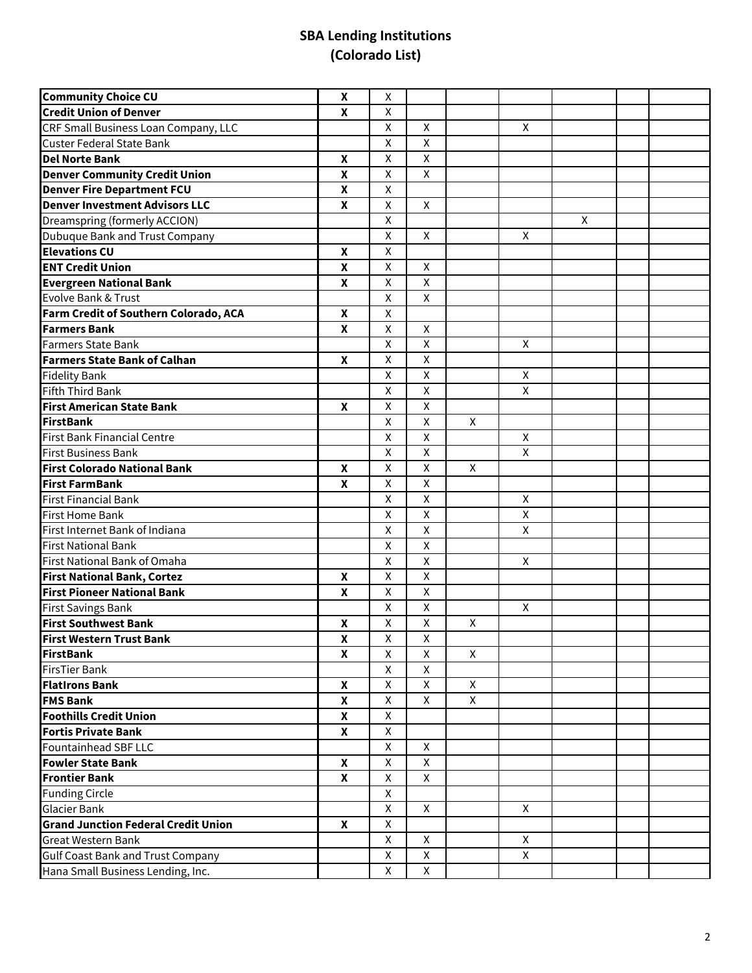| <b>Community Choice CU</b>                 | $\boldsymbol{x}$          | X                  |                    |   |                    |   |  |
|--------------------------------------------|---------------------------|--------------------|--------------------|---|--------------------|---|--|
| <b>Credit Union of Denver</b>              | $\pmb{\mathsf{X}}$        | $\pmb{\mathsf{X}}$ |                    |   |                    |   |  |
| CRF Small Business Loan Company, LLC       |                           | $\mathsf{X}$       | $\pmb{\times}$     |   | X                  |   |  |
| <b>Custer Federal State Bank</b>           |                           | X                  | X                  |   |                    |   |  |
| <b>Del Norte Bank</b>                      | $\boldsymbol{\mathsf{x}}$ | $\pmb{\mathsf{X}}$ | $\pmb{\mathsf{X}}$ |   |                    |   |  |
| <b>Denver Community Credit Union</b>       | $\boldsymbol{\mathsf{X}}$ | X                  | X                  |   |                    |   |  |
| <b>Denver Fire Department FCU</b>          | $\boldsymbol{\mathsf{x}}$ | $\pmb{\mathsf{X}}$ |                    |   |                    |   |  |
| <b>Denver Investment Advisors LLC</b>      | X                         | X                  | X                  |   |                    |   |  |
| Dreamspring (formerly ACCION)              |                           | X                  |                    |   |                    | X |  |
| Dubuque Bank and Trust Company             |                           | X                  | X                  |   | X                  |   |  |
| <b>Elevations CU</b>                       | $\boldsymbol{x}$          | X                  |                    |   |                    |   |  |
| <b>ENT Credit Union</b>                    | $\boldsymbol{\mathsf{x}}$ | $\mathsf{X}$       | $\pmb{\times}$     |   |                    |   |  |
| <b>Evergreen National Bank</b>             | $\boldsymbol{x}$          | $\mathsf{X}$       | $\pmb{\times}$     |   |                    |   |  |
| Evolve Bank & Trust                        |                           | X                  | X                  |   |                    |   |  |
| Farm Credit of Southern Colorado, ACA      | $\boldsymbol{x}$          | X                  |                    |   |                    |   |  |
| <b>Farmers Bank</b>                        | $\boldsymbol{\mathsf{x}}$ | X                  | $\pmb{\times}$     |   |                    |   |  |
| <b>Farmers State Bank</b>                  |                           | $\pmb{\mathsf{X}}$ | $\pmb{\times}$     |   | $\mathsf{X}$       |   |  |
| <b>Farmers State Bank of Calhan</b>        | $\boldsymbol{x}$          | X                  | X                  |   |                    |   |  |
| <b>Fidelity Bank</b>                       |                           | X                  | $\pmb{\mathsf{X}}$ |   | $\mathsf{X}$       |   |  |
| <b>Fifth Third Bank</b>                    |                           | $\pmb{\mathsf{X}}$ | $\pmb{\times}$     |   | $\pmb{\mathsf{X}}$ |   |  |
| <b>First American State Bank</b>           | $\boldsymbol{x}$          | $\pmb{\mathsf{X}}$ | $\pmb{\mathsf{X}}$ |   |                    |   |  |
| <b>FirstBank</b>                           |                           | $\mathsf{X}$       | $\pmb{\times}$     | X |                    |   |  |
| <b>First Bank Financial Centre</b>         |                           | $\mathsf{X}$       | $\pmb{\mathsf{X}}$ |   | $\mathsf{X}$       |   |  |
| <b>First Business Bank</b>                 |                           | $\pmb{\mathsf{X}}$ | $\pmb{\times}$     |   | X                  |   |  |
| <b>First Colorado National Bank</b>        | $\boldsymbol{\mathsf{x}}$ | $\pmb{\mathsf{X}}$ | $\pmb{\mathsf{X}}$ | X |                    |   |  |
| <b>First FarmBank</b>                      | $\boldsymbol{\mathsf{X}}$ | $\pmb{\mathsf{X}}$ | X                  |   |                    |   |  |
| <b>First Financial Bank</b>                |                           | $\pmb{\mathsf{X}}$ | $\pmb{\times}$     |   | X                  |   |  |
| <b>First Home Bank</b>                     |                           | X                  | $\pmb{\times}$     |   | X                  |   |  |
| First Internet Bank of Indiana             |                           | X                  | X                  |   | X                  |   |  |
| <b>First National Bank</b>                 |                           | $\pmb{\mathsf{X}}$ | $\pmb{\mathsf{X}}$ |   |                    |   |  |
| First National Bank of Omaha               |                           | $\pmb{\mathsf{X}}$ | $\pmb{\mathsf{X}}$ |   | X                  |   |  |
| <b>First National Bank, Cortez</b>         | $\boldsymbol{x}$          | $\pmb{\mathsf{X}}$ | $\pmb{\mathsf{X}}$ |   |                    |   |  |
| <b>First Pioneer National Bank</b>         | X                         | $\mathsf{X}$       | $\pmb{\mathsf{X}}$ |   |                    |   |  |
| <b>First Savings Bank</b>                  |                           | X                  | $\pmb{\mathsf{X}}$ |   | X                  |   |  |
| <b>First Southwest Bank</b>                | $\pmb{\mathsf{X}}$        | $\pmb{\mathsf{X}}$ | $\pmb{\mathsf{X}}$ | X |                    |   |  |
| <b>First Western Trust Bank</b>            | $\pmb{\mathsf{X}}$        | $\pmb{\mathsf{X}}$ | $\overline{X}$     |   |                    |   |  |
| <b>FirstBank</b>                           | $\boldsymbol{x}$          | X                  | X                  | X |                    |   |  |
| <b>FirsTier Bank</b>                       |                           | X                  | X                  |   |                    |   |  |
| <b>FlatIrons Bank</b>                      | X                         | X                  | X                  | X |                    |   |  |
| <b>FMS Bank</b>                            | $\mathbf x$               | $\mathsf{X}$       | $\mathsf{X}$       | X |                    |   |  |
| <b>Foothills Credit Union</b>              | $\mathbf{x}$              | $\mathsf{X}$       |                    |   |                    |   |  |
| <b>Fortis Private Bank</b>                 | X                         | $\mathsf{X}$       |                    |   |                    |   |  |
| Fountainhead SBF LLC                       |                           | $\mathsf{X}$       | $\mathsf{X}$       |   |                    |   |  |
| <b>Fowler State Bank</b>                   | $\mathbf x$               | X                  | $\mathsf{X}$       |   |                    |   |  |
| <b>Frontier Bank</b>                       | $\mathbf x$               | X                  | X                  |   |                    |   |  |
| Funding Circle                             |                           | X                  |                    |   |                    |   |  |
| <b>Glacier Bank</b>                        |                           | X                  | X                  |   | X                  |   |  |
| <b>Grand Junction Federal Credit Union</b> | X                         | X                  |                    |   |                    |   |  |
| <b>Great Western Bank</b>                  |                           | X                  | X                  |   | X                  |   |  |
| <b>Gulf Coast Bank and Trust Company</b>   |                           | $\mathsf{X}$       | $\mathsf{X}$       |   | $\mathsf{X}$       |   |  |
| Hana Small Business Lending, Inc.          |                           | $\mathsf{X}$       | $\mathsf X$        |   |                    |   |  |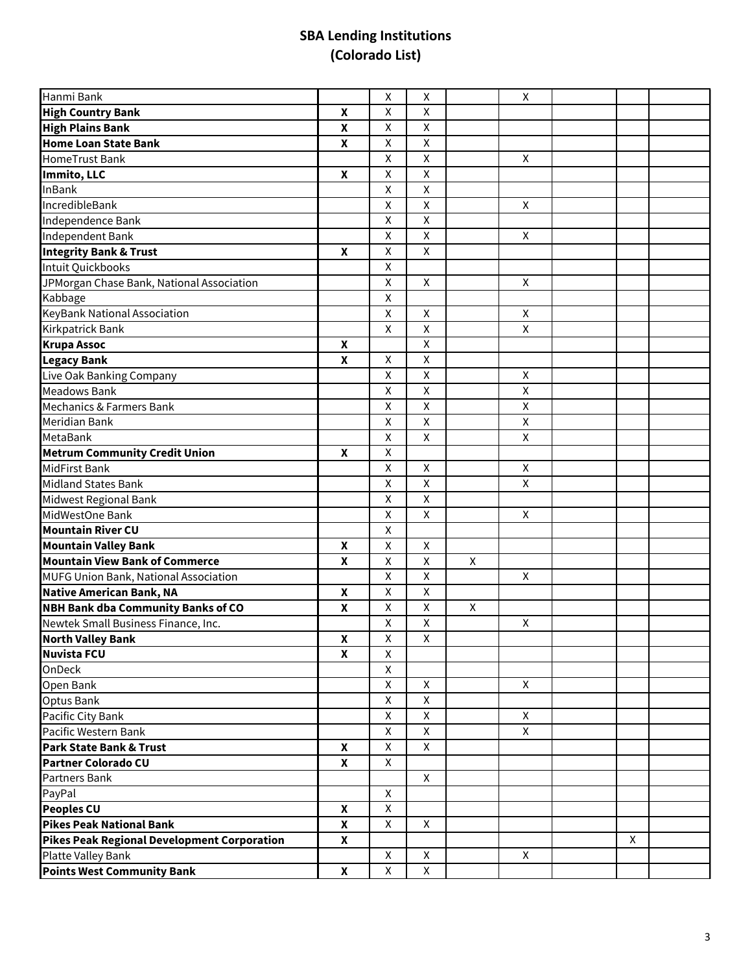| Hanmi Bank                                         |                    | $\pmb{\mathsf{X}}$      | Χ                       |                    | $\pmb{\mathsf{X}}$ |   |  |
|----------------------------------------------------|--------------------|-------------------------|-------------------------|--------------------|--------------------|---|--|
| <b>High Country Bank</b>                           | $\pmb{\mathsf{X}}$ | $\pmb{\mathsf{X}}$      | $\pmb{\mathsf{X}}$      |                    |                    |   |  |
| <b>High Plains Bank</b>                            | $\boldsymbol{x}$   | $\pmb{\times}$          | $\pmb{\mathsf{X}}$      |                    |                    |   |  |
| <b>Home Loan State Bank</b>                        | $\pmb{\mathsf{X}}$ | $\pmb{\mathsf{X}}$      | $\pmb{\mathsf{X}}$      |                    |                    |   |  |
| HomeTrust Bank                                     |                    | Χ                       | $\pmb{\mathsf{X}}$      |                    | X                  |   |  |
| Immito, LLC                                        | $\boldsymbol{x}$   | $\overline{\mathsf{x}}$ | $\overline{\mathsf{x}}$ |                    |                    |   |  |
| <b>InBank</b>                                      |                    | $\pmb{\mathsf{X}}$      | $\pmb{\mathsf{X}}$      |                    |                    |   |  |
| IncredibleBank                                     |                    | $\pmb{\mathsf{X}}$      | $\pmb{\times}$          |                    | X                  |   |  |
| Independence Bank                                  |                    | $\pmb{\mathsf{X}}$      | $\mathsf{X}$            |                    |                    |   |  |
| Independent Bank                                   |                    | $\pmb{\mathsf{X}}$      | $\pmb{\mathsf{X}}$      |                    | X                  |   |  |
| <b>Integrity Bank &amp; Trust</b>                  | $\mathbf{x}$       | $\pmb{\mathsf{X}}$      | $\pmb{\mathsf{X}}$      |                    |                    |   |  |
| Intuit Quickbooks                                  |                    | $\pmb{\mathsf{X}}$      |                         |                    |                    |   |  |
| JPMorgan Chase Bank, National Association          |                    | $\pmb{\mathsf{X}}$      | $\pmb{\mathsf{X}}$      |                    | $\mathsf{X}$       |   |  |
| Kabbage                                            |                    | $\pmb{\times}$          |                         |                    |                    |   |  |
| KeyBank National Association                       |                    | $\pmb{\mathsf{X}}$      | $\pmb{\mathsf{X}}$      |                    | $\pmb{\times}$     |   |  |
| Kirkpatrick Bank                                   |                    | $\overline{\mathsf{x}}$ | $\overline{\mathsf{x}}$ |                    | $\overline{X}$     |   |  |
| <b>Krupa Assoc</b>                                 | X                  |                         | $\pmb{\mathsf{X}}$      |                    |                    |   |  |
| <b>Legacy Bank</b>                                 | $\pmb{\mathsf{X}}$ | $\pmb{\mathsf{X}}$      | $\pmb{\times}$          |                    |                    |   |  |
| Live Oak Banking Company                           |                    | $\pmb{\mathsf{X}}$      | $\pmb{\mathsf{X}}$      |                    | $\pmb{\mathsf{X}}$ |   |  |
| <b>Meadows Bank</b>                                |                    | $\pmb{\mathsf{X}}$      | $\pmb{\times}$          |                    | $\pmb{\times}$     |   |  |
| Mechanics & Farmers Bank                           |                    | $\pmb{\mathsf{X}}$      | $\pmb{\mathsf{X}}$      |                    | $\pmb{\mathsf{X}}$ |   |  |
| Meridian Bank                                      |                    | $\pmb{\times}$          | $\pmb{\mathsf{X}}$      |                    | $\pmb{\times}$     |   |  |
| MetaBank                                           |                    | $\pmb{\mathsf{X}}$      | $\pmb{\mathsf{X}}$      |                    | $\pmb{\mathsf{X}}$ |   |  |
| <b>Metrum Community Credit Union</b>               | $\mathbf{x}$       | $\mathsf{X}$            |                         |                    |                    |   |  |
| MidFirst Bank                                      |                    | $\pmb{\mathsf{X}}$      | $\pmb{\times}$          |                    | X                  |   |  |
| Midland States Bank                                |                    | $\overline{\mathsf{x}}$ | $\overline{\mathsf{x}}$ |                    | $\mathsf X$        |   |  |
| Midwest Regional Bank                              |                    | $\pmb{\mathsf{X}}$      | X                       |                    |                    |   |  |
| MidWestOne Bank                                    |                    | $\pmb{\mathsf{X}}$      | $\pmb{\times}$          |                    | X                  |   |  |
| <b>Mountain River CU</b>                           |                    | X                       |                         |                    |                    |   |  |
| <b>Mountain Valley Bank</b>                        | X                  | X                       | X                       |                    |                    |   |  |
| <b>Mountain View Bank of Commerce</b>              | $\boldsymbol{x}$   | $\pmb{\mathsf{X}}$      | $\pmb{\mathsf{X}}$      | $\pmb{\mathsf{X}}$ |                    |   |  |
| MUFG Union Bank, National Association              |                    | $\pmb{\mathsf{X}}$      | $\mathsf{X}$            |                    | X                  |   |  |
| <b>Native American Bank, NA</b>                    | $\pmb{\mathsf{X}}$ | $\pmb{\times}$          | $\pmb{\mathsf{X}}$      |                    |                    |   |  |
| <b>NBH Bank dba Community Banks of CO</b>          | $\boldsymbol{x}$   | X                       | X                       | $\pmb{\times}$     |                    |   |  |
| Newtek Small Business Finance, Inc.                |                    | X                       | $\pmb{\mathsf{X}}$      |                    | X                  |   |  |
| <b>North Valley Bank</b>                           | $\mathbf x$        | $\overline{\mathsf{X}}$ | $\overline{\mathsf{X}}$ |                    |                    |   |  |
| <b>Nuvista FCU</b>                                 | X                  | X                       |                         |                    |                    |   |  |
| OnDeck                                             |                    | X                       |                         |                    |                    |   |  |
| Open Bank                                          |                    | X                       | X                       |                    | X                  |   |  |
| Optus Bank                                         |                    | X                       | $\mathsf{X}$            |                    |                    |   |  |
| Pacific City Bank                                  |                    | $\mathsf{X}$            | $\mathsf{x}$            |                    | $\mathsf{X}$       |   |  |
| Pacific Western Bank                               |                    | $\mathsf{X}$            | $\mathsf{X}$            |                    | X                  |   |  |
| Park State Bank & Trust                            | $\mathbf{x}$       | $\mathsf{X}$            | X                       |                    |                    |   |  |
| <b>Partner Colorado CU</b>                         | X                  | X                       |                         |                    |                    |   |  |
| Partners Bank                                      |                    |                         | $\mathsf{X}$            |                    |                    |   |  |
| PayPal                                             |                    | $\mathsf{X}$            |                         |                    |                    |   |  |
| <b>Peoples CU</b>                                  | X                  | X                       |                         |                    |                    |   |  |
| <b>Pikes Peak National Bank</b>                    | X                  | X                       | X                       |                    |                    |   |  |
| <b>Pikes Peak Regional Development Corporation</b> | X                  |                         |                         |                    |                    | X |  |
| Platte Valley Bank                                 |                    | X                       | X                       |                    | X                  |   |  |
| <b>Points West Community Bank</b>                  | $\mathbf{x}$       | $\mathsf{X}$            | $\mathsf{X}$            |                    |                    |   |  |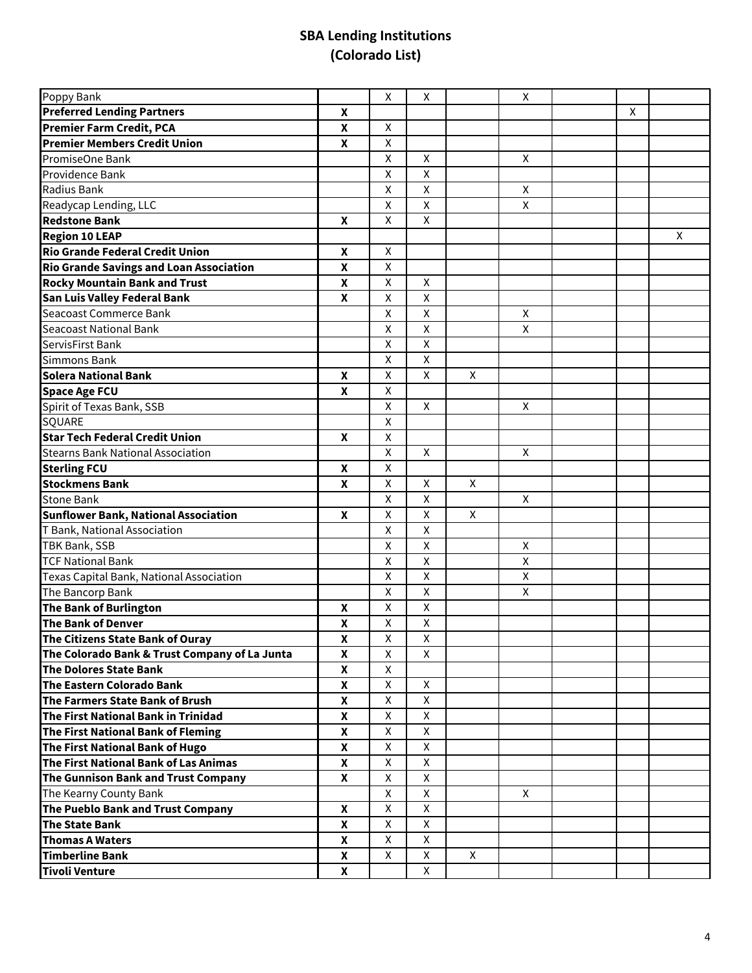| Poppy Bank                                     |                    | X                  | X                       |   | X            |   |   |
|------------------------------------------------|--------------------|--------------------|-------------------------|---|--------------|---|---|
| <b>Preferred Lending Partners</b>              | $\boldsymbol{x}$   |                    |                         |   |              | X |   |
| <b>Premier Farm Credit, PCA</b>                | X                  | X                  |                         |   |              |   |   |
| <b>Premier Members Credit Union</b>            | X                  | $\pmb{\times}$     |                         |   |              |   |   |
| PromiseOne Bank                                |                    | X                  | X                       |   | X            |   |   |
| Providence Bank                                |                    | X                  | $\mathsf{x}$            |   |              |   |   |
| Radius Bank                                    |                    | $\pmb{\mathsf{X}}$ | $\overline{\mathsf{x}}$ |   | X            |   |   |
| Readycap Lending, LLC                          |                    | X                  | $\mathsf{x}$            |   | X            |   |   |
| <b>Redstone Bank</b>                           | X                  | X                  | $\mathsf{X}$            |   |              |   |   |
| <b>Region 10 LEAP</b>                          |                    |                    |                         |   |              |   | X |
| <b>Rio Grande Federal Credit Union</b>         | X                  | X                  |                         |   |              |   |   |
| <b>Rio Grande Savings and Loan Association</b> | $\boldsymbol{x}$   | $\pmb{\mathsf{X}}$ |                         |   |              |   |   |
| <b>Rocky Mountain Bank and Trust</b>           | $\pmb{\mathsf{X}}$ | $\pmb{\mathsf{X}}$ | X                       |   |              |   |   |
| San Luis Valley Federal Bank                   | $\boldsymbol{x}$   | $\pmb{\times}$     | $\pmb{\mathsf{X}}$      |   |              |   |   |
| Seacoast Commerce Bank                         |                    | $\pmb{\times}$     | $\pmb{\mathsf{X}}$      |   | X            |   |   |
| <b>Seacoast National Bank</b>                  |                    | X                  | $\pmb{\mathsf{X}}$      |   | X            |   |   |
| ServisFirst Bank                               |                    | $\pmb{\mathsf{X}}$ | $\overline{\mathsf{x}}$ |   |              |   |   |
| <b>Simmons Bank</b>                            |                    | X                  | X                       |   |              |   |   |
| Solera National Bank                           | $\boldsymbol{x}$   | $\pmb{\mathsf{X}}$ | X                       | X |              |   |   |
| <b>Space Age FCU</b>                           | X                  | X                  |                         |   |              |   |   |
| Spirit of Texas Bank, SSB                      |                    | X                  | X                       |   | X            |   |   |
| SQUARE                                         |                    | $\pmb{\mathsf{X}}$ |                         |   |              |   |   |
| <b>Star Tech Federal Credit Union</b>          | X                  | X                  |                         |   |              |   |   |
| <b>Stearns Bank National Association</b>       |                    | $\pmb{\times}$     | $\mathsf{X}$            |   | X            |   |   |
| <b>Sterling FCU</b>                            | $\mathbf{x}$       | $\pmb{\mathsf{X}}$ |                         |   |              |   |   |
| <b>Stockmens Bank</b>                          | X                  | X                  | X                       | X |              |   |   |
| <b>Stone Bank</b>                              |                    | $\pmb{\mathsf{X}}$ | $\overline{\mathsf{x}}$ |   | X            |   |   |
| <b>Sunflower Bank, National Association</b>    | X                  | $\pmb{\mathsf{X}}$ | X                       | X |              |   |   |
| T Bank, National Association                   |                    | $\pmb{\mathsf{X}}$ | $\mathsf{X}$            |   |              |   |   |
| TBK Bank, SSB                                  |                    | X                  | $\pmb{\mathsf{X}}$      |   | X            |   |   |
| <b>TCF National Bank</b>                       |                    | X                  | $\pmb{\mathsf{X}}$      |   | X            |   |   |
| Texas Capital Bank, National Association       |                    | $\pmb{\mathsf{X}}$ | $\pmb{\mathsf{X}}$      |   | $\mathsf{X}$ |   |   |
| The Bancorp Bank                               |                    | $\pmb{\mathsf{X}}$ | $\pmb{\mathsf{X}}$      |   | X            |   |   |
| The Bank of Burlington                         | $\boldsymbol{x}$   | $\pmb{\times}$     | $\pmb{\mathsf{X}}$      |   |              |   |   |
| The Bank of Denver                             | $\pmb{\mathsf{X}}$ | $\pmb{\mathsf{X}}$ | $\pmb{\mathsf{X}}$      |   |              |   |   |
| The Citizens State Bank of Ouray               | $\pmb{\mathsf{X}}$ | $\overline{X}$     | $\overline{\mathsf{X}}$ |   |              |   |   |
| The Colorado Bank & Trust Company of La Junta  | $\mathbf{x}$       | $\pmb{\mathsf{X}}$ | $\overline{\mathsf{x}}$ |   |              |   |   |
| The Dolores State Bank                         | X                  | X                  |                         |   |              |   |   |
| The Eastern Colorado Bank                      | X                  | X                  | X                       |   |              |   |   |
| The Farmers State Bank of Brush                | X                  | X                  | X                       |   |              |   |   |
| The First National Bank in Trinidad            | X                  | X                  | X                       |   |              |   |   |
| The First National Bank of Fleming             | $\boldsymbol{x}$   | $\pmb{\times}$     | $\pmb{\times}$          |   |              |   |   |
| The First National Bank of Hugo                | X                  | X                  | $\mathsf{X}$            |   |              |   |   |
| The First National Bank of Las Animas          | $\boldsymbol{x}$   | $\mathsf{X}$       | $\mathsf{X}$            |   |              |   |   |
| The Gunnison Bank and Trust Company            | $\mathbf{x}$       | $\mathsf{X}$       | $\mathsf{x}$            |   |              |   |   |
| The Kearny County Bank                         |                    | X                  | $\mathsf{X}$            |   | X            |   |   |
| The Pueblo Bank and Trust Company              | $\mathbf{x}$       | $\pmb{\times}$     | $\overline{X}$          |   |              |   |   |
| <b>The State Bank</b>                          | X                  | X                  | $\mathsf{X}$            |   |              |   |   |
| <b>Thomas A Waters</b>                         | X                  | X                  | X                       |   |              |   |   |
| <b>Timberline Bank</b>                         | X                  | X                  | X                       | X |              |   |   |
| <b>Tivoli Venture</b>                          | $\boldsymbol{x}$   |                    | X                       |   |              |   |   |